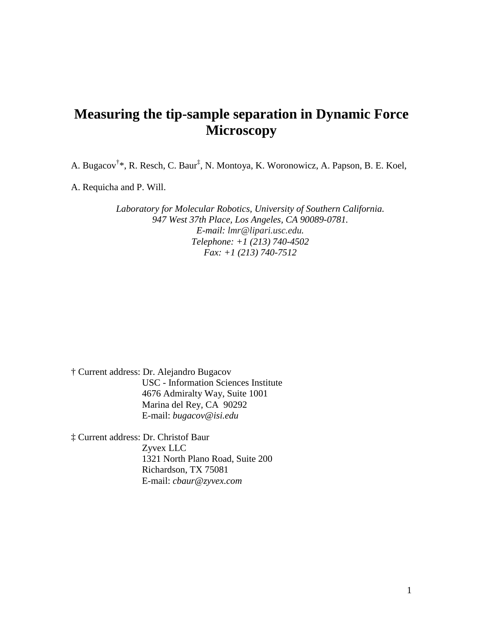# **Measuring the tip-sample separation in Dynamic Force Microscopy**

A. Bugacov<sup>†</sup>\*, R. Resch, C. Baur<sup>‡</sup>, N. Montoya, K. Woronowicz, A. Papson, B. E. Koel,

A. Requicha and P. Will.

*Laboratory for Molecular Robotics, University of Southern California. 947 West 37th Place, Los Angeles, CA 90089-0781. E-mail: lmr@lipari.usc.edu. Telephone: +1 (213) 740-4502 Fax: +1 (213) 740-7512*

† Current address: Dr. Alejandro Bugacov USC - Information Sciences Institute 4676 Admiralty Way, Suite 1001 Marina del Rey, CA 90292 E-mail: *bugacov@isi.edu*

‡ Current address: Dr. Christof Baur Zyvex LLC 1321 North Plano Road, Suite 200 Richardson, TX 75081 E-mail: *cbaur@zyvex.com*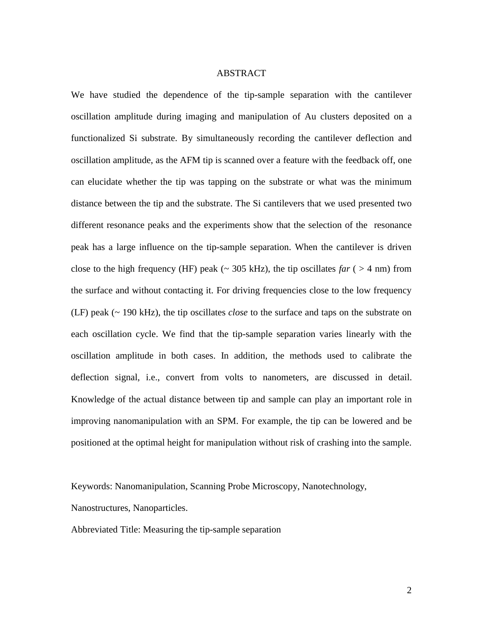#### ABSTRACT

We have studied the dependence of the tip-sample separation with the cantilever oscillation amplitude during imaging and manipulation of Au clusters deposited on a functionalized Si substrate. By simultaneously recording the cantilever deflection and oscillation amplitude, as the AFM tip is scanned over a feature with the feedback off, one can elucidate whether the tip was tapping on the substrate or what was the minimum distance between the tip and the substrate. The Si cantilevers that we used presented two different resonance peaks and the experiments show that the selection of the resonance peak has a large influence on the tip-sample separation. When the cantilever is driven close to the high frequency (HF) peak ( $\sim$  305 kHz), the tip oscillates *far* ( $>$  4 nm) from the surface and without contacting it. For driving frequencies close to the low frequency (LF) peak (~ 190 kHz), the tip oscillates *close* to the surface and taps on the substrate on each oscillation cycle. We find that the tip-sample separation varies linearly with the oscillation amplitude in both cases. In addition, the methods used to calibrate the deflection signal, i.e., convert from volts to nanometers, are discussed in detail. Knowledge of the actual distance between tip and sample can play an important role in improving nanomanipulation with an SPM. For example, the tip can be lowered and be positioned at the optimal height for manipulation without risk of crashing into the sample.

Keywords: Nanomanipulation, Scanning Probe Microscopy, Nanotechnology,

Nanostructures, Nanoparticles.

Abbreviated Title: Measuring the tip-sample separation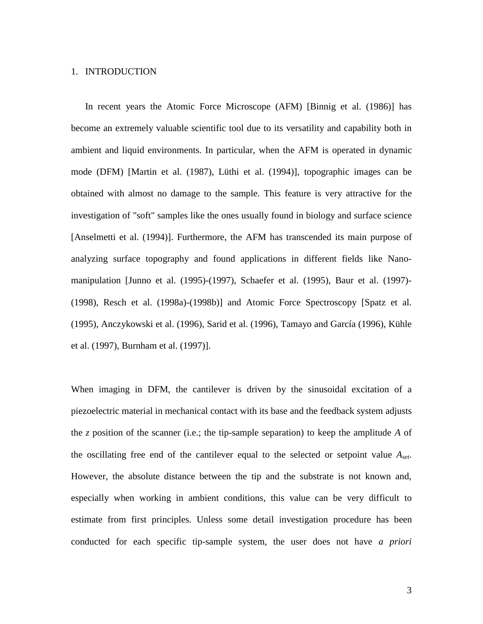#### 1. INTRODUCTION

In recent years the Atomic Force Microscope (AFM) [Binnig et al. (1986)] has become an extremely valuable scientific tool due to its versatility and capability both in ambient and liquid environments. In particular, when the AFM is operated in dynamic mode (DFM) [Martin et al. (1987), Lüthi et al. (1994)], topographic images can be obtained with almost no damage to the sample. This feature is very attractive for the investigation of "soft" samples like the ones usually found in biology and surface science [Anselmetti et al. (1994)]. Furthermore, the AFM has transcended its main purpose of analyzing surface topography and found applications in different fields like Nanomanipulation [Junno et al. (1995)-(1997), Schaefer et al. (1995), Baur et al. (1997)- (1998), Resch et al. (1998a)-(1998b)] and Atomic Force Spectroscopy [Spatz et al. (1995), Anczykowski et al. (1996), Sarid et al. (1996), Tamayo and García (1996), Kühle et al. (1997), Burnham et al. (1997)].

When imaging in DFM, the cantilever is driven by the sinusoidal excitation of a piezoelectric material in mechanical contact with its base and the feedback system adjusts the *z* position of the scanner (i.e.; the tip-sample separation) to keep the amplitude *A* of the oscillating free end of the cantilever equal to the selected or setpoint value *Aset*. However, the absolute distance between the tip and the substrate is not known and, especially when working in ambient conditions, this value can be very difficult to estimate from first principles. Unless some detail investigation procedure has been conducted for each specific tip-sample system, the user does not have *a priori*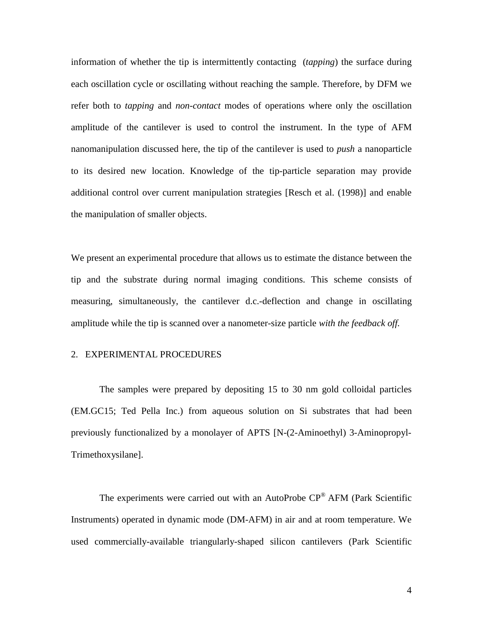information of whether the tip is intermittently contacting (*tapping*) the surface during each oscillation cycle or oscillating without reaching the sample. Therefore, by DFM we refer both to *tapping* and *non-contact* modes of operations where only the oscillation amplitude of the cantilever is used to control the instrument. In the type of AFM nanomanipulation discussed here, the tip of the cantilever is used to *push* a nanoparticle to its desired new location. Knowledge of the tip-particle separation may provide additional control over current manipulation strategies [Resch et al. (1998)] and enable the manipulation of smaller objects.

We present an experimental procedure that allows us to estimate the distance between the tip and the substrate during normal imaging conditions. This scheme consists of measuring, simultaneously, the cantilever d.c.-deflection and change in oscillating amplitude while the tip is scanned over a nanometer-size particle *with the feedback off.*

#### 2. EXPERIMENTAL PROCEDURES

The samples were prepared by depositing 15 to 30 nm gold colloidal particles (EM.GC15; Ted Pella Inc.) from aqueous solution on Si substrates that had been previously functionalized by a monolayer of APTS [N-(2-Aminoethyl) 3-Aminopropyl-Trimethoxysilane].

The experiments were carried out with an AutoProbe CP® AFM (Park Scientific Instruments) operated in dynamic mode (DM-AFM) in air and at room temperature. We used commercially-available triangularly-shaped silicon cantilevers (Park Scientific

4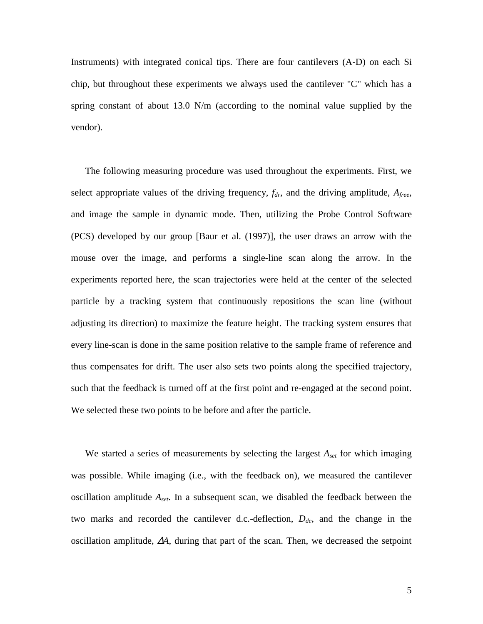Instruments) with integrated conical tips. There are four cantilevers (A-D) on each Si chip, but throughout these experiments we always used the cantilever "C" which has a spring constant of about 13.0 N/m (according to the nominal value supplied by the vendor).

The following measuring procedure was used throughout the experiments. First, we select appropriate values of the driving frequency,  $f_{dr}$ , and the driving amplitude,  $A_{free}$ , and image the sample in dynamic mode. Then, utilizing the Probe Control Software (PCS) developed by our group [Baur et al. (1997)], the user draws an arrow with the mouse over the image, and performs a single-line scan along the arrow. In the experiments reported here, the scan trajectories were held at the center of the selected particle by a tracking system that continuously repositions the scan line (without adjusting its direction) to maximize the feature height. The tracking system ensures that every line-scan is done in the same position relative to the sample frame of reference and thus compensates for drift. The user also sets two points along the specified trajectory, such that the feedback is turned off at the first point and re-engaged at the second point. We selected these two points to be before and after the particle.

We started a series of measurements by selecting the largest *Aset* for which imaging was possible. While imaging (i.e., with the feedback on), we measured the cantilever oscillation amplitude *Aset*. In a subsequent scan, we disabled the feedback between the two marks and recorded the cantilever d.c.-deflection,  $D_{dc}$ , and the change in the oscillation amplitude, ∆*A*, during that part of the scan. Then, we decreased the setpoint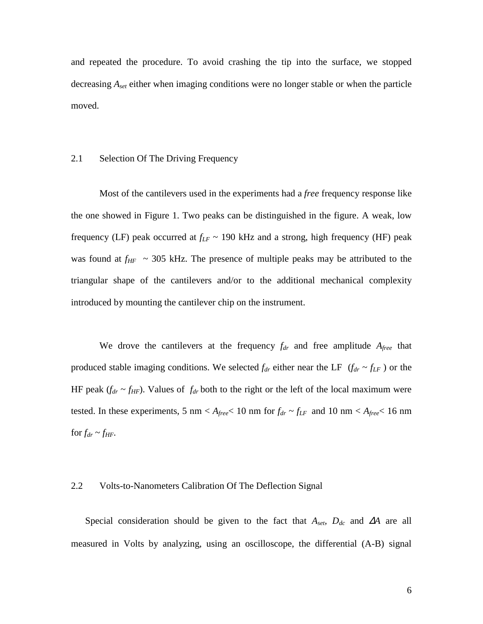and repeated the procedure. To avoid crashing the tip into the surface, we stopped decreasing *Aset* either when imaging conditions were no longer stable or when the particle moved.

#### 2.1 Selection Of The Driving Frequency

Most of the cantilevers used in the experiments had a *free* frequency response like the one showed in Figure 1. Two peaks can be distinguished in the figure. A weak, low frequency (LF) peak occurred at  $f_{LF} \sim 190$  kHz and a strong, high frequency (HF) peak was found at  $f_{HF}$  ~ 305 kHz. The presence of multiple peaks may be attributed to the triangular shape of the cantilevers and/or to the additional mechanical complexity introduced by mounting the cantilever chip on the instrument.

We drove the cantilevers at the frequency  $f_{dr}$  and free amplitude  $A_{free}$  that produced stable imaging conditions. We selected  $f_{dr}$  either near the LF  $(f_{dr} \sim f_{LF})$  or the HF peak  $(f_{dr} \sim f_{HF})$ . Values of  $f_{dr}$  both to the right or the left of the local maximum were tested. In these experiments, 5 nm <  $A_{\text{free}}$  < 10 nm for  $f_{dr} \sim f_{LF}$  and 10 nm <  $A_{\text{free}}$  < 16 nm for  $f_{dr} \sim f_{HF}$ .

#### 2.2 Volts-to-Nanometers Calibration Of The Deflection Signal

Special consideration should be given to the fact that *Aset, Ddc* and ∆*A* are all measured in Volts by analyzing, using an oscilloscope, the differential (A-B) signal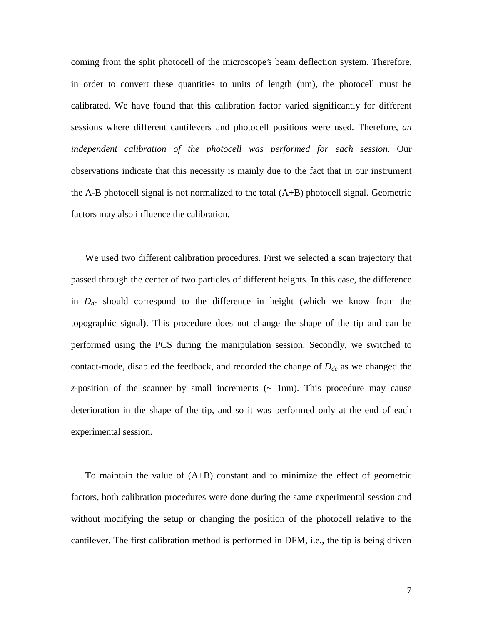coming from the split photocell of the microscope's beam deflection system. Therefore, in order to convert these quantities to units of length (nm), the photocell must be calibrated. We have found that this calibration factor varied significantly for different sessions where different cantilevers and photocell positions were used. Therefore, *an independent calibration of the photocell was performed for each session.* Our observations indicate that this necessity is mainly due to the fact that in our instrument the A-B photocell signal is not normalized to the total (A+B) photocell signal. Geometric factors may also influence the calibration.

We used two different calibration procedures. First we selected a scan trajectory that passed through the center of two particles of different heights. In this case, the difference in *Ddc* should correspond to the difference in height (which we know from the topographic signal). This procedure does not change the shape of the tip and can be performed using the PCS during the manipulation session. Secondly, we switched to contact-mode, disabled the feedback, and recorded the change of  $D_{dc}$  as we changed the  $z$ -position of the scanner by small increments  $({\sim}$  1nm). This procedure may cause deterioration in the shape of the tip, and so it was performed only at the end of each experimental session.

To maintain the value of  $(A+B)$  constant and to minimize the effect of geometric factors, both calibration procedures were done during the same experimental session and without modifying the setup or changing the position of the photocell relative to the cantilever. The first calibration method is performed in DFM, i.e., the tip is being driven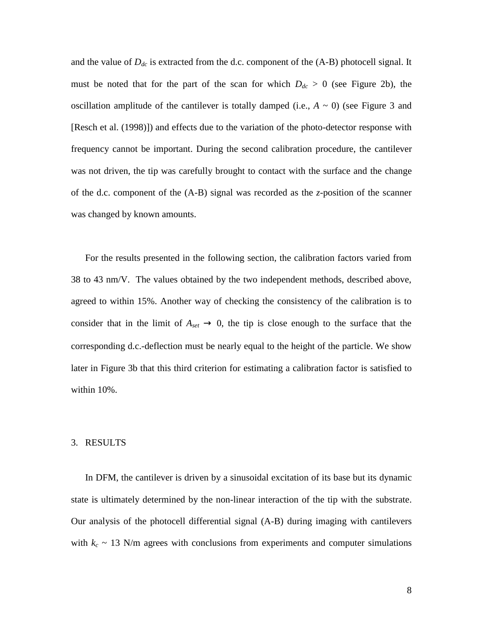and the value of  $D_{dc}$  is extracted from the d.c. component of the  $(A-B)$  photocell signal. It must be noted that for the part of the scan for which  $D_{dc} > 0$  (see Figure 2b), the oscillation amplitude of the cantilever is totally damped (i.e.,  $A \sim 0$ ) (see Figure 3 and [Resch et al. (1998)]) and effects due to the variation of the photo-detector response with frequency cannot be important. During the second calibration procedure, the cantilever was not driven, the tip was carefully brought to contact with the surface and the change of the d.c. component of the (A-B) signal was recorded as the *z*-position of the scanner was changed by known amounts.

For the results presented in the following section, the calibration factors varied from 38 to 43 nm/V. The values obtained by the two independent methods, described above, agreed to within 15%. Another way of checking the consistency of the calibration is to consider that in the limit of  $A_{set} \rightarrow 0$ , the tip is close enough to the surface that the corresponding d.c.-deflection must be nearly equal to the height of the particle. We show later in Figure 3b that this third criterion for estimating a calibration factor is satisfied to within 10%.

#### 3. RESULTS

In DFM, the cantilever is driven by a sinusoidal excitation of its base but its dynamic state is ultimately determined by the non-linear interaction of the tip with the substrate. Our analysis of the photocell differential signal (A-B) during imaging with cantilevers with  $k_c \sim 13$  N/m agrees with conclusions from experiments and computer simulations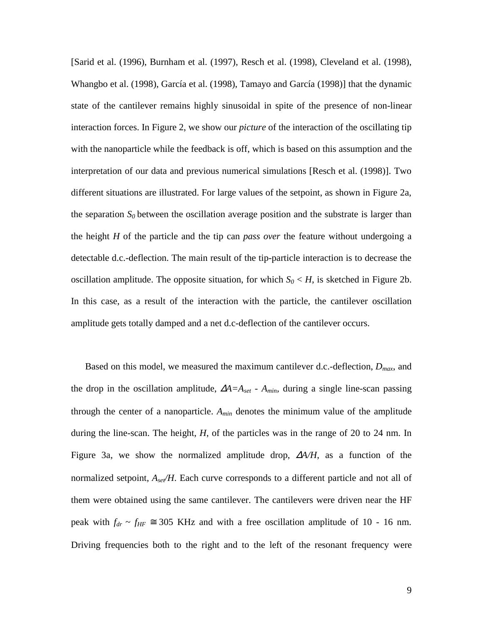[Sarid et al. (1996), Burnham et al. (1997), Resch et al. (1998), Cleveland et al. (1998), Whangbo et al. (1998), García et al. (1998), Tamayo and García (1998)] that the dynamic state of the cantilever remains highly sinusoidal in spite of the presence of non-linear interaction forces. In Figure 2, we show our *picture* of the interaction of the oscillating tip with the nanoparticle while the feedback is off, which is based on this assumption and the interpretation of our data and previous numerical simulations [Resch et al. (1998)]. Two different situations are illustrated. For large values of the setpoint, as shown in Figure 2a, the separation  $S_0$  between the oscillation average position and the substrate is larger than the height *H* of the particle and the tip can *pass over* the feature without undergoing a detectable d.c.-deflection. The main result of the tip-particle interaction is to decrease the oscillation amplitude. The opposite situation, for which  $S_0 \lt H$ , is sketched in Figure 2b. In this case, as a result of the interaction with the particle, the cantilever oscillation amplitude gets totally damped and a net d.c-deflection of the cantilever occurs.

Based on this model, we measured the maximum cantilever d.c.-deflection, *Dmax*, and the drop in the oscillation amplitude,  $\Delta A = A_{set} - A_{min}$ , during a single line-scan passing through the center of a nanoparticle.  $A_{min}$  denotes the minimum value of the amplitude during the line-scan. The height, *H*, of the particles was in the range of 20 to 24 nm. In Figure 3a, we show the normalized amplitude drop, ∆*A/H*, as a function of the normalized setpoint,  $A_{set}/H$ . Each curve corresponds to a different particle and not all of them were obtained using the same cantilever. The cantilevers were driven near the HF peak with  $f_{dr} \sim f_{HF} \approx 305$  KHz and with a free oscillation amplitude of 10 - 16 nm. Driving frequencies both to the right and to the left of the resonant frequency were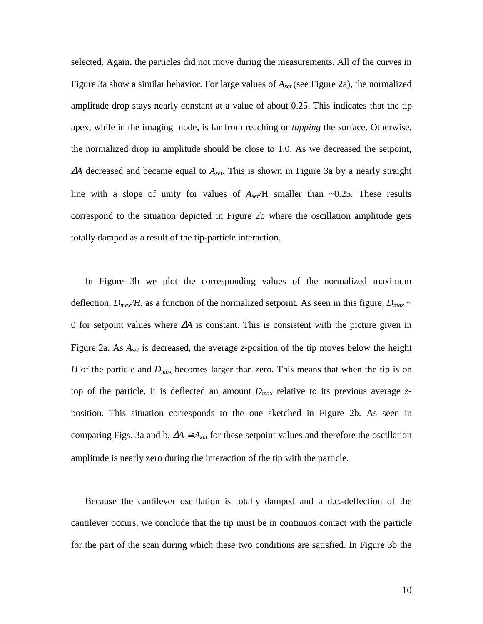selected. Again, the particles did not move during the measurements. All of the curves in Figure 3a show a similar behavior. For large values of *Aset* (see Figure 2a), the normalized amplitude drop stays nearly constant at a value of about 0.25. This indicates that the tip apex, while in the imaging mode, is far from reaching or *tapping* the surface. Otherwise, the normalized drop in amplitude should be close to 1.0. As we decreased the setpoint, <sup>∆</sup>*A* decreased and became equal to *Aset*. This is shown in Figure 3a by a nearly straight line with a slope of unity for values of  $A_{set}/H$  smaller than  $\sim 0.25$ . These results correspond to the situation depicted in Figure 2b where the oscillation amplitude gets totally damped as a result of the tip-particle interaction.

In Figure 3b we plot the corresponding values of the normalized maximum deflection,  $D_{max}/H$ , as a function of the normalized setpoint. As seen in this figure,  $D_{max} \sim$ 0 for setpoint values where ∆*A* is constant. This is consistent with the picture given in Figure 2a. As *Aset* is decreased, the average *z*-position of the tip moves below the height *H* of the particle and *Dmax* becomes larger than zero. This means that when the tip is on top of the particle, it is deflected an amount  $D_{max}$  relative to its previous average  $z$ position. This situation corresponds to the one sketched in Figure 2b. As seen in comparing Figs. 3a and b,  $\Delta A \cong A_{set}$  for these setpoint values and therefore the oscillation amplitude is nearly zero during the interaction of the tip with the particle.

Because the cantilever oscillation is totally damped and a d.c.-deflection of the cantilever occurs, we conclude that the tip must be in continuos contact with the particle for the part of the scan during which these two conditions are satisfied. In Figure 3b the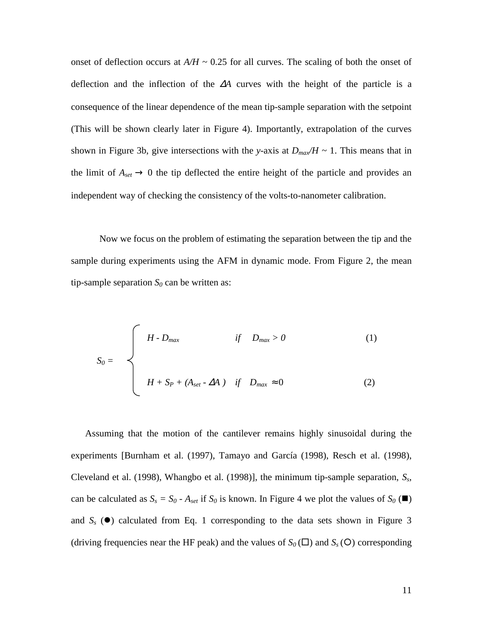onset of deflection occurs at  $A/H \sim 0.25$  for all curves. The scaling of both the onset of deflection and the inflection of the ∆*A* curves with the height of the particle is a consequence of the linear dependence of the mean tip-sample separation with the setpoint (This will be shown clearly later in Figure 4). Importantly, extrapolation of the curves shown in Figure 3b, give intersections with the *y*-axis at  $D_{max}/H \sim 1$ . This means that in the limit of  $A_{set} \rightarrow 0$  the tip deflected the entire height of the particle and provides an independent way of checking the consistency of the volts-to-nanometer calibration.

Now we focus on the problem of estimating the separation between the tip and the sample during experiments using the AFM in dynamic mode. From Figure 2, the mean tip-sample separation  $S_0$  can be written as:

$$
S_0 = \begin{cases} H - D_{max} & \text{if } D_{max} > 0 \end{cases}
$$
 (1)  

$$
H + S_P + (A_{set} - \Delta A) \text{ if } D_{max} \approx 0
$$
 (2)

Assuming that the motion of the cantilever remains highly sinusoidal during the experiments [Burnham et al. (1997), Tamayo and García (1998), Resch et al. (1998), Cleveland et al. (1998), Whangbo et al. (1998)], the minimum tip-sample separation, *Ss*, can be calculated as  $S_s = S_0 - A_{set}$  if  $S_0$  is known. In Figure 4 we plot the values of  $S_0$  ( $\blacksquare$ ) and  $S<sub>s</sub>$  ( $\bullet$ ) calculated from Eq. 1 corresponding to the data sets shown in Figure 3 (driving frequencies near the HF peak) and the values of  $S_0(\square)$  and  $S_s(\mathsf{O})$  corresponding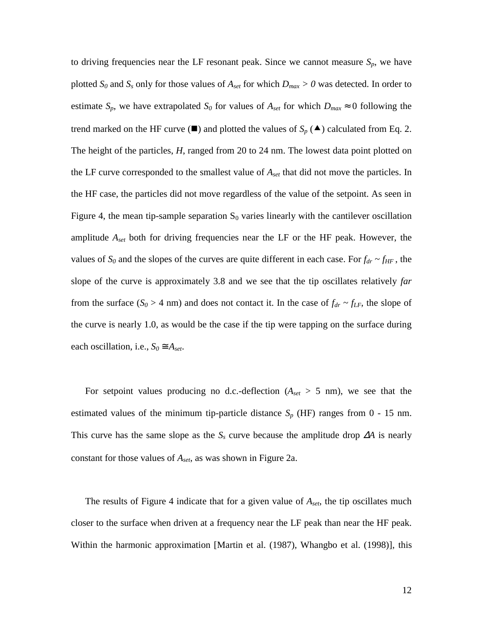to driving frequencies near the LF resonant peak. Since we cannot measure  $S_p$ , we have plotted  $S_0$  and  $S_s$  only for those values of  $A_{set}$  for which  $D_{max} > 0$  was detected. In order to estimate  $S_p$ , we have extrapolated  $S_0$  for values of  $A_{set}$  for which  $D_{max} \approx 0$  following the trend marked on the HF curve  $(\blacksquare)$  and plotted the values of  $S_p(\blacktriangle)$  calculated from Eq. 2. The height of the particles, *H*, ranged from 20 to 24 nm. The lowest data point plotted on the LF curve corresponded to the smallest value of *Aset* that did not move the particles. In the HF case, the particles did not move regardless of the value of the setpoint. As seen in Figure 4, the mean tip-sample separation  $S_0$  varies linearly with the cantilever oscillation amplitude *Aset* both for driving frequencies near the LF or the HF peak. However, the values of  $S_0$  and the slopes of the curves are quite different in each case. For  $f_{dr} \sim f_{HF}$ , the slope of the curve is approximately 3.8 and we see that the tip oscillates relatively *far* from the surface ( $S_0 > 4$  nm) and does not contact it. In the case of  $f_{dr} \sim f_{LF}$ , the slope of the curve is nearly 1.0, as would be the case if the tip were tapping on the surface during each oscillation, i.e.,  $S_0 \cong A_{set}$ .

For setpoint values producing no d.c.-deflection (*Aset* > 5 nm), we see that the estimated values of the minimum tip-particle distance  $S_p$  (HF) ranges from  $0 - 15$  nm. This curve has the same slope as the  $S_s$  curve because the amplitude drop  $\Delta A$  is nearly constant for those values of *Aset*, as was shown in Figure 2a.

The results of Figure 4 indicate that for a given value of *Aset*, the tip oscillates much closer to the surface when driven at a frequency near the LF peak than near the HF peak. Within the harmonic approximation [Martin et al. (1987), Whangbo et al. (1998)], this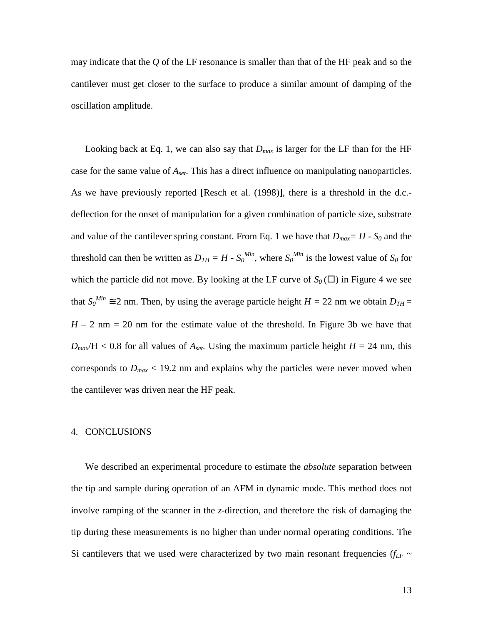may indicate that the *Q* of the LF resonance is smaller than that of the HF peak and so the cantilever must get closer to the surface to produce a similar amount of damping of the oscillation amplitude.

Looking back at Eq. 1, we can also say that  $D_{max}$  is larger for the LF than for the HF case for the same value of *Aset*. This has a direct influence on manipulating nanoparticles. As we have previously reported [Resch et al. (1998)], there is a threshold in the d.c. deflection for the onset of manipulation for a given combination of particle size, substrate and value of the cantilever spring constant. From Eq. 1 we have that  $D_{max} = H - S_0$  and the threshold can then be written as  $D_{TH} = H - S_0^{Min}$ , where  $S_0^{Min}$  is the lowest value of  $S_0$  for which the particle did not move. By looking at the LF curve of  $S_0(\square)$  in Figure 4 we see that  $S_0^{Min} \cong 2$  nm. Then, by using the average particle height  $H = 22$  nm we obtain  $D_{TH} =$  $H - 2$  nm = 20 nm for the estimate value of the threshold. In Figure 3b we have that  $D_{max}/H < 0.8$  for all values of  $A_{set}$ . Using the maximum particle height  $H = 24$  nm, this corresponds to  $D_{max}$  < 19.2 nm and explains why the particles were never moved when the cantilever was driven near the HF peak.

#### 4. CONCLUSIONS

We described an experimental procedure to estimate the *absolute* separation between the tip and sample during operation of an AFM in dynamic mode. This method does not involve ramping of the scanner in the *z*-direction, and therefore the risk of damaging the tip during these measurements is no higher than under normal operating conditions. The Si cantilevers that we used were characterized by two main resonant frequencies ( $f_{LF}$  ~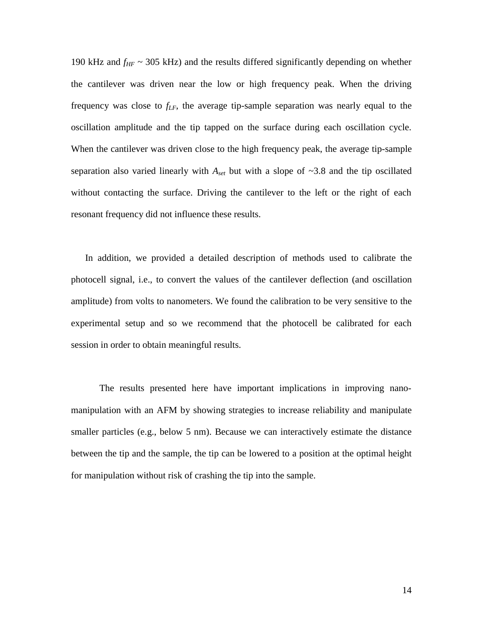190 kHz and  $f_{HF}$  ~ 305 kHz) and the results differed significantly depending on whether the cantilever was driven near the low or high frequency peak. When the driving frequency was close to  $f_{LF}$ , the average tip-sample separation was nearly equal to the oscillation amplitude and the tip tapped on the surface during each oscillation cycle. When the cantilever was driven close to the high frequency peak, the average tip-sample separation also varied linearly with *Aset* but with a slope of ~3.8 and the tip oscillated without contacting the surface. Driving the cantilever to the left or the right of each resonant frequency did not influence these results.

In addition, we provided a detailed description of methods used to calibrate the photocell signal, i.e., to convert the values of the cantilever deflection (and oscillation amplitude) from volts to nanometers. We found the calibration to be very sensitive to the experimental setup and so we recommend that the photocell be calibrated for each session in order to obtain meaningful results.

The results presented here have important implications in improving nanomanipulation with an AFM by showing strategies to increase reliability and manipulate smaller particles (e.g., below 5 nm). Because we can interactively estimate the distance between the tip and the sample, the tip can be lowered to a position at the optimal height for manipulation without risk of crashing the tip into the sample.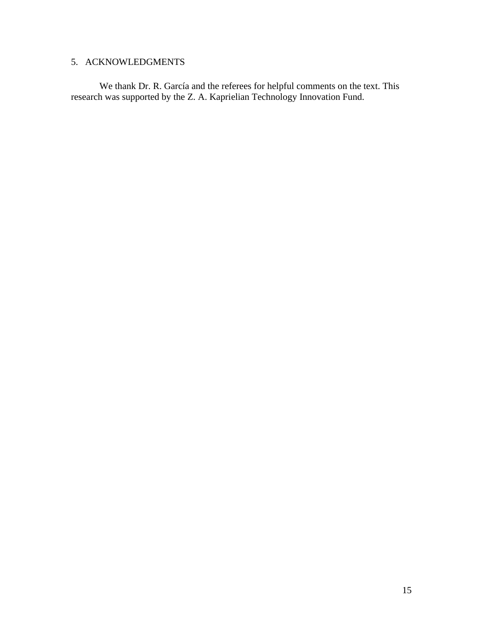## 5. ACKNOWLEDGMENTS

We thank Dr. R. García and the referees for helpful comments on the text. This research was supported by the Z. A. Kaprielian Technology Innovation Fund.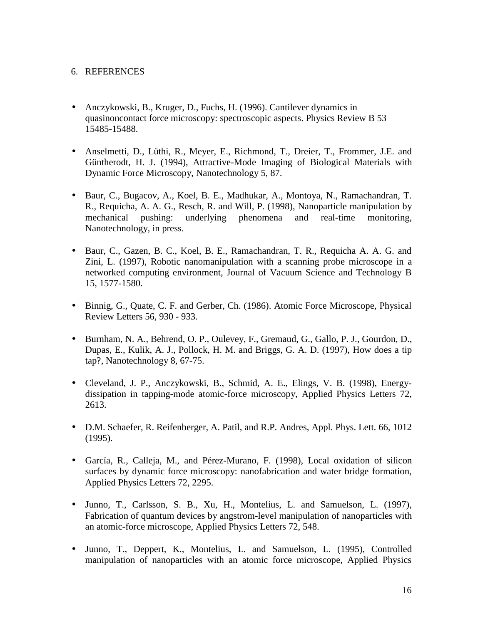### 6. REFERENCES

- Anczykowski, B., Kruger, D., Fuchs, H. (1996). Cantilever dynamics in quasinoncontact force microscopy: spectroscopic aspects. Physics Review B 53 15485-15488.
- Anselmetti, D., Lüthi, R., Meyer, E., Richmond, T., Dreier, T., Frommer, J.E. and Güntherodt, H. J. (1994), Attractive-Mode Imaging of Biological Materials with Dynamic Force Microscopy, Nanotechnology 5, 87.
- Baur, C., Bugacov, A., Koel, B. E., Madhukar, A., Montoya, N., Ramachandran, T. R., Requicha, A. A. G., Resch, R. and Will, P. (1998), Nanoparticle manipulation by mechanical pushing: underlying phenomena and real-time monitoring, Nanotechnology, in press.
- Baur, C., Gazen, B. C., Koel, B. E., Ramachandran, T. R., Requicha A. A. G. and Zini, L. (1997), Robotic nanomanipulation with a scanning probe microscope in a networked computing environment, Journal of Vacuum Science and Technology B 15, 1577-1580.
- Binnig, G., Quate, C. F. and Gerber, Ch. (1986). Atomic Force Microscope, Physical Review Letters 56, 930 - 933.
- Burnham, N. A., Behrend, O. P., Oulevey, F., Gremaud, G., Gallo, P. J., Gourdon, D., Dupas, E., Kulik, A. J., Pollock, H. M. and Briggs, G. A. D. (1997), How does a tip tap?, Nanotechnology 8, 67-75.
- Cleveland, J. P., Anczykowski, B., Schmid, A. E., Elings, V. B. (1998), Energydissipation in tapping-mode atomic-force microscopy, Applied Physics Letters 72, 2613.
- D.M. Schaefer, R. Reifenberger, A. Patil, and R.P. Andres, Appl. Phys. Lett. 66, 1012 (1995).
- García, R., Calleja, M., and Pérez-Murano, F. (1998), Local oxidation of silicon surfaces by dynamic force microscopy: nanofabrication and water bridge formation, Applied Physics Letters 72, 2295.
- Junno, T., Carlsson, S. B., Xu, H., Montelius, L. and Samuelson, L. (1997), Fabrication of quantum devices by angstrom-level manipulation of nanoparticles with an atomic-force microscope, Applied Physics Letters 72, 548.
- Junno, T., Deppert, K., Montelius, L. and Samuelson, L. (1995), Controlled manipulation of nanoparticles with an atomic force microscope, Applied Physics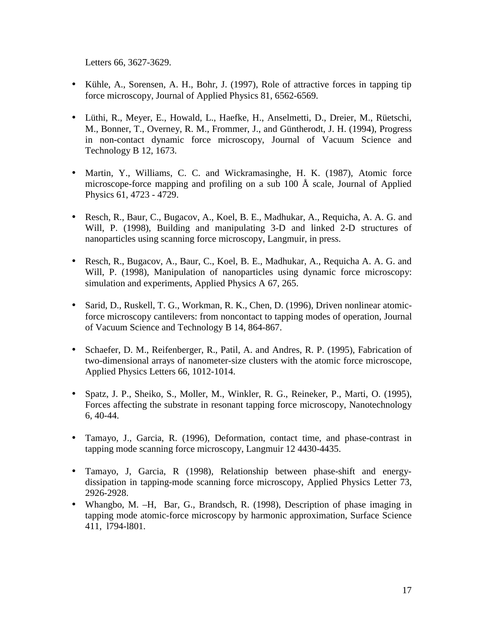Letters 66, 3627-3629.

- Kühle, A., Sorensen, A. H., Bohr, J. (1997), Role of attractive forces in tapping tip force microscopy, Journal of Applied Physics 81, 6562-6569.
- Lüthi, R., Meyer, E., Howald, L., Haefke, H., Anselmetti, D., Dreier, M., Rüetschi, M., Bonner, T., Overney, R. M., Frommer, J., and Güntherodt, J. H. (1994), Progress in non-contact dynamic force microscopy, Journal of Vacuum Science and Technology B 12, 1673.
- Martin, Y., Williams, C. C. and Wickramasinghe, H. K. (1987), Atomic force microscope-force mapping and profiling on a sub 100 Å scale, Journal of Applied Physics 61, 4723 - 4729.
- Resch, R., Baur, C., Bugacov, A., Koel, B. E., Madhukar, A., Requicha, A. A. G. and Will, P. (1998), Building and manipulating 3-D and linked 2-D structures of nanoparticles using scanning force microscopy, Langmuir, in press.
- Resch, R., Bugacov, A., Baur, C., Koel, B. E., Madhukar, A., Requicha A. A. G. and Will, P. (1998), Manipulation of nanoparticles using dynamic force microscopy: simulation and experiments, Applied Physics A 67, 265.
- Sarid, D., Ruskell, T. G., Workman, R. K., Chen, D. (1996), Driven nonlinear atomicforce microscopy cantilevers: from noncontact to tapping modes of operation, Journal of Vacuum Science and Technology B 14, 864-867.
- Schaefer, D. M., Reifenberger, R., Patil, A. and Andres, R. P. (1995), Fabrication of two-dimensional arrays of nanometer-size clusters with the atomic force microscope, Applied Physics Letters 66, 1012-1014.
- Spatz, J. P., Sheiko, S., Moller, M., Winkler, R. G., Reineker, P., Marti, O. (1995), Forces affecting the substrate in resonant tapping force microscopy, Nanotechnology 6, 40-44.
- Tamayo, J., Garcia, R. (1996), Deformation, contact time, and phase-contrast in tapping mode scanning force microscopy, Langmuir 12 4430-4435.
- Tamayo, J, Garcia, R (1998), Relationship between phase-shift and energydissipation in tapping-mode scanning force microscopy, Applied Physics Letter 73, 2926-2928.
- Whangbo, M. –H, Bar, G., Brandsch, R. (1998), Description of phase imaging in tapping mode atomic-force microscopy by harmonic approximation, Surface Science 411, l794-l801.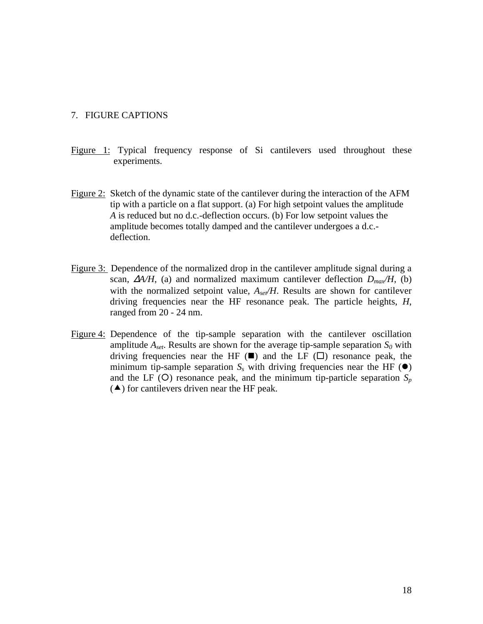#### 7. FIGURE CAPTIONS

- Figure 1: Typical frequency response of Si cantilevers used throughout these experiments.
- Figure 2: Sketch of the dynamic state of the cantilever during the interaction of the AFM tip with a particle on a flat support. (a) For high setpoint values the amplitude *A* is reduced but no d.c.-deflection occurs. (b) For low setpoint values the amplitude becomes totally damped and the cantilever undergoes a d.c. deflection.
- Figure 3: Dependence of the normalized drop in the cantilever amplitude signal during a scan,  $\Delta A/H$ , (a) and normalized maximum cantilever deflection  $D_{max}/H$ , (b) with the normalized setpoint value,  $A_{\text{set}}/H$ . Results are shown for cantilever driving frequencies near the HF resonance peak. The particle heights, *H*, ranged from 20 - 24 nm.
- Figure 4: Dependence of the tip-sample separation with the cantilever oscillation amplitude  $A_{set}$ . Results are shown for the average tip-sample separation  $S_0$  with driving frequencies near the HF  $(\blacksquare)$  and the LF  $(\square)$  resonance peak, the minimum tip-sample separation  $S<sub>s</sub>$  with driving frequencies near the HF ( $\bullet$ ) and the LF (O) resonance peak, and the minimum tip-particle separation  $S_p$  $(\triangle)$  for cantilevers driven near the HF peak.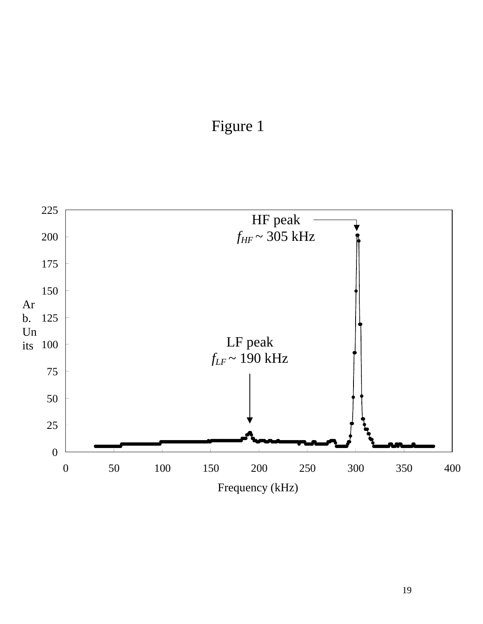

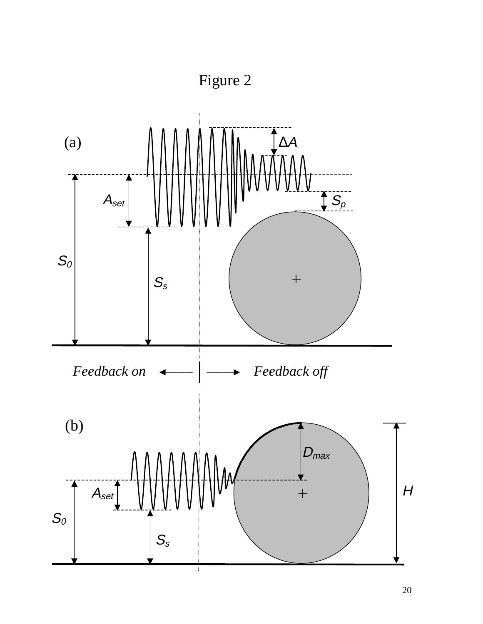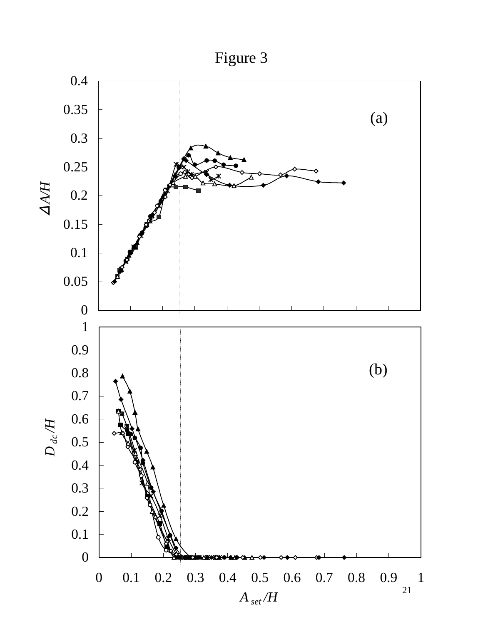